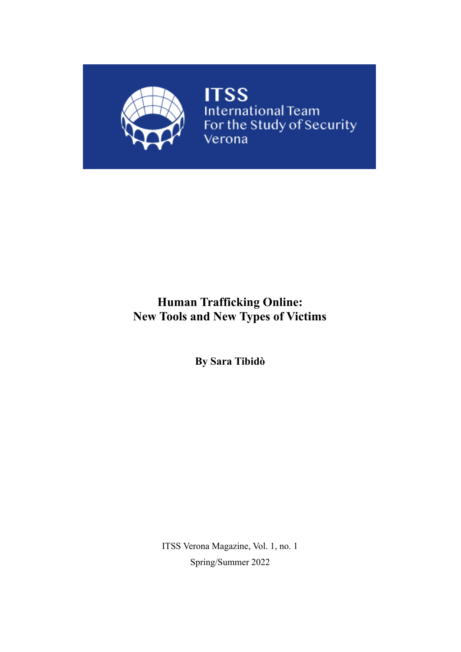

**ITSS**<br>International Team<br>For the Study of Security Verona

# **Human Trafficking Online: New Tools and New Types of Victims**

**By Sara Tibidò**

ITSS Verona Magazine, Vol. 1, no. 1 Spring/Summer 2022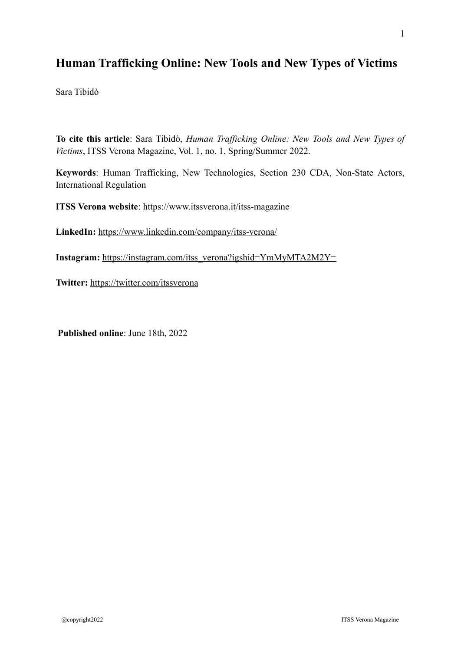## **Human Trafficking Online: New Tools and New Types of Victims**

Sara Tibidò

**To cite this article**: Sara Tibidò, *Human Trafficking Online: New Tools and New Types of Victims*, ITSS Verona Magazine, Vol. 1, no. 1, Spring/Summer 2022.

**Keywords**: Human Trafficking, New Technologies, Section 230 CDA, Non-State Actors, International Regulation

**ITSS Verona website**:<https://www.itssverona.it/itss-magazine>

**LinkedIn:** <https://www.linkedin.com/company/itss-verona/>

**Instagram:** [https://instagram.com/itss\\_verona?igshid=YmMyMTA2M2Y=](https://instagram.com/itss_verona?igshid=YmMyMTA2M2Y=)

**Twitter:** <https://twitter.com/itssverona>

**Published online**: June 18th, 2022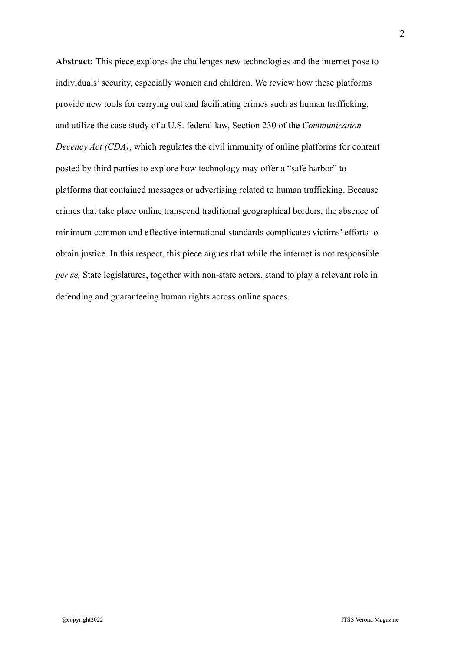**Abstract:** This piece explores the challenges new technologies and the internet pose to individuals' security, especially women and children. We review how these platforms provide new tools for carrying out and facilitating crimes such as human trafficking, and utilize the case study of a U.S. federal law, Section 230 of the *Communication Decency Act (CDA)*, which regulates the civil immunity of online platforms for content posted by third parties to explore how technology may offer a "safe harbor" to platforms that contained messages or advertising related to human trafficking. Because crimes that take place online transcend traditional geographical borders, the absence of minimum common and effective international standards complicates victims' efforts to obtain justice. In this respect, this piece argues that while the internet is not responsible *per se,* State legislatures, together with non-state actors, stand to play a relevant role in defending and guaranteeing human rights across online spaces.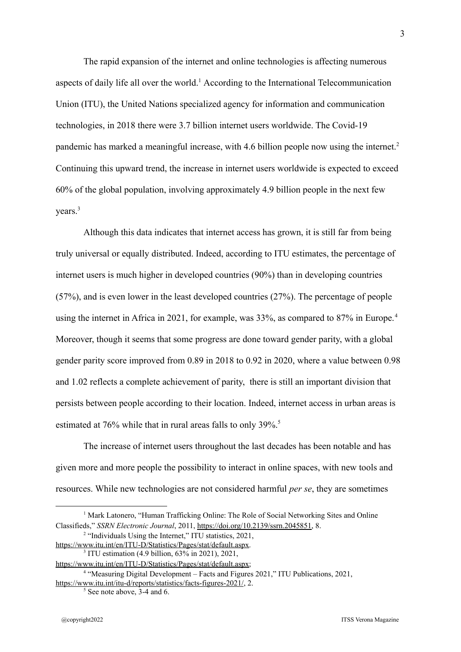The rapid expansion of the internet and online technologies is affecting numerous aspects of daily life all over the world.<sup>1</sup> According to the International Telecommunication Union (ITU), the United Nations specialized agency for information and communication technologies, in 2018 there were 3.7 billion internet users worldwide. The Covid-19 pandemic has marked a meaningful increase, with 4.6 billion people now using the internet.<sup>2</sup> Continuing this upward trend, the increase in internet users worldwide is expected to exceed 60% of the global population, involving approximately 4.9 billion people in the next few years.<sup>3</sup>

Although this data indicates that internet access has grown, it is still far from being truly universal or equally distributed. Indeed, according to ITU estimates, the percentage of internet users is much higher in developed countries (90%) than in developing countries (57%), and is even lower in the least developed countries (27%). The percentage of people using the internet in Africa in 2021, for example, was 33%, as compared to 87% in Europe.<sup>4</sup> Moreover, though it seems that some progress are done toward gender parity, with a global gender parity score improved from 0.89 in 2018 to 0.92 in 2020, where a value between 0.98 and 1.02 reflects a complete achievement of parity, there is still an important division that persists between people according to their location. Indeed, internet access in urban areas is estimated at 76% while that in rural areas falls to only 39%.<sup>5</sup>

The increase of internet users throughout the last decades has been notable and has given more and more people the possibility to interact in online spaces, with new tools and resources. While new technologies are not considered harmful *per se*, they are sometimes

3

<sup>&</sup>lt;sup>1</sup> Mark Latonero, "Human Trafficking Online: The Role of Social Networking Sites and Online Classifieds," *SSRN Electronic Journal*, 2011, [https://doi.org/10.2139/ssrn.2045851,](https://doi.org/10.2139/ssrn.2045851) 8.

<sup>&</sup>lt;sup>2</sup> "Individuals Using the Internet," ITU statistics, 2021,

<sup>3</sup> ITU estimation (4.9 billion, 63% in 2021), 2021, <https://www.itu.int/en/ITU-D/Statistics/Pages/stat/default.aspx>.

https://www.itu.int/en/ITU-D/Statistics/Pages/stat/default.aspx;

<sup>4</sup> "Measuring Digital Development – Facts and Figures 2021," ITU Publications, 2021, <https://www.itu.int/itu-d/reports/statistics/facts-figures-2021/>, 2.

<sup>&</sup>lt;sup>5</sup> See note above, 3-4 and 6.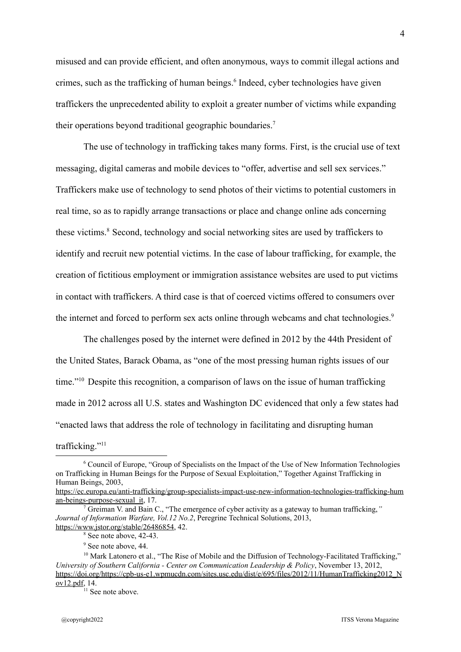misused and can provide efficient, and often anonymous, ways to commit illegal actions and crimes, such as the trafficking of human beings.<sup>6</sup> Indeed, cyber technologies have given traffickers the unprecedented ability to exploit a greater number of victims while expanding their operations beyond traditional geographic boundaries.<sup>7</sup>

The use of technology in trafficking takes many forms. First, is the crucial use of text messaging, digital cameras and mobile devices to "offer, advertise and sell sex services." Traffickers make use of technology to send photos of their victims to potential customers in real time, so as to rapidly arrange transactions or place and change online ads concerning these victims.<sup>8</sup> Second, technology and social networking sites are used by traffickers to identify and recruit new potential victims. In the case of labour trafficking, for example, the creation of fictitious employment or immigration assistance websites are used to put victims in contact with traffickers. A third case is that of coerced victims offered to consumers over the internet and forced to perform sex acts online through webcams and chat technologies.<sup>9</sup>

The challenges posed by the internet were defined in 2012 by the 44th President of the United States, Barack Obama, as "one of the most pressing human rights issues of our time."<sup>10</sup> Despite this recognition, a comparison of laws on the issue of human trafficking made in 2012 across all U.S. states and Washington DC evidenced that only a few states had "enacted laws that address the role of technology in facilitating and disrupting human

trafficking."<sup>11</sup>

<sup>6</sup> Council of Europe, "Group of Specialists on the Impact of the Use of New Information Technologies on Trafficking in Human Beings for the Purpose of Sexual Exploitation," Together Against Trafficking in Human Beings, 2003,

[https://ec.europa.eu/anti-trafficking/group-specialists-impact-use-new-information-technologies-trafficking-hum](https://ec.europa.eu/anti-trafficking/group-specialists-impact-use-new-information-technologies-trafficking-human-beings-purpose-sexual_it) [an-beings-purpose-sexual\\_it](https://ec.europa.eu/anti-trafficking/group-specialists-impact-use-new-information-technologies-trafficking-human-beings-purpose-sexual_it), 17.

<sup>7</sup> Greiman V. and Bain C., "The emergence of cyber activity as a gateway to human trafficking,*" Journal of Information Warfare, Vol.12 No.2*, Peregrine Technical Solutions, 2013, https://www.jstor.org/stable/26486854, 42.

<sup>8</sup> See note above, 42-43.

<sup>&</sup>lt;sup>9</sup> See note above, 44.

<sup>&</sup>lt;sup>10</sup> Mark Latonero et al., "The Rise of Mobile and the Diffusion of Technology-Facilitated Trafficking," *University of Southern California - Center on Communication Leadership & Policy*, November 13, 2012, [https://doi.org/https://cpb-us-e1.wpmucdn.com/sites.usc.edu/dist/e/695/files/2012/11/HumanTrafficking2012\\_N](https://doi.org/https://cpb-us-e1.wpmucdn.com/sites.usc.edu/dist/e/695/files/2012/11/HumanTrafficking2012_Nov12.pdf) [ov12.pdf,](https://doi.org/https://cpb-us-e1.wpmucdn.com/sites.usc.edu/dist/e/695/files/2012/11/HumanTrafficking2012_Nov12.pdf) 14.

 $11$  See note above.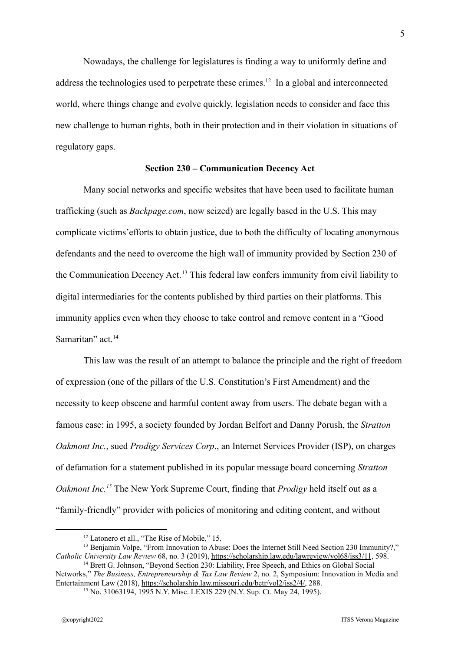Nowadays, the challenge for legislatures is finding a way to uniformly define and address the technologies used to perpetrate these crimes.<sup>12</sup> In a global and interconnected world, where things change and evolve quickly, legislation needs to consider and face this new challenge to human rights, both in their protection and in their violation in situations of regulatory gaps.

#### **Section 230 – Communication Decency Act**

Many social networks and specific websites that have been used to facilitate human trafficking (such as *Backpage.com*, now seized) are legally based in the U.S. This may complicate victims'efforts to obtain justice, due to both the difficulty of locating anonymous defendants and the need to overcome the high wall of immunity provided by Section 230 of the Communication Decency Act.<sup>13</sup> This federal law confers immunity from civil liability to digital intermediaries for the contents published by third parties on their platforms. This immunity applies even when they choose to take control and remove content in a "Good Samaritan" act.<sup>14</sup>

This law was the result of an attempt to balance the principle and the right of freedom of expression (one of the pillars of the U.S. Constitution's First Amendment) and the necessity to keep obscene and harmful content away from users. The debate began with a famous case: in 1995, a society founded by Jordan Belfort and Danny Porush, the *Stratton Oakmont Inc.*, sued *Prodigy Services Corp*., an Internet Services Provider (ISP), on charges of defamation for a statement published in its popular message board concerning *Stratton Oakmont Inc.<sup>15</sup>* The New York Supreme Court, finding that *Prodigy* held itself out as a "family-friendly" provider with policies of monitoring and editing content, and without

<sup>&</sup>lt;sup>12</sup> Latonero et all., "The Rise of Mobile," 15.

<sup>&</sup>lt;sup>13</sup> Benjamin Volpe, "From Innovation to Abuse: Does the Internet Still Need Section 230 Immunity?." *Catholic University Law Review* 68, no. 3 (2019), <https://scholarship.law.edu/lawreview/vol68/iss3/11>, 598.

<sup>&</sup>lt;sup>14</sup> Brett G. Johnson, "Beyond Section 230: Liability, Free Speech, and Ethics on Global Social Networks," *The Business, Entrepreneurship & Tax Law Review* 2, no. 2, Symposium: Innovation in Media and Entertainment Law (2018), https://scholarship.law.missouri.edu/betr/vol2/iss2/4/, 288.

<sup>&</sup>lt;sup>15</sup> No. 31063194, 1995 N.Y. Misc. LEXIS 229 (N.Y. Sup. Ct. May 24, 1995).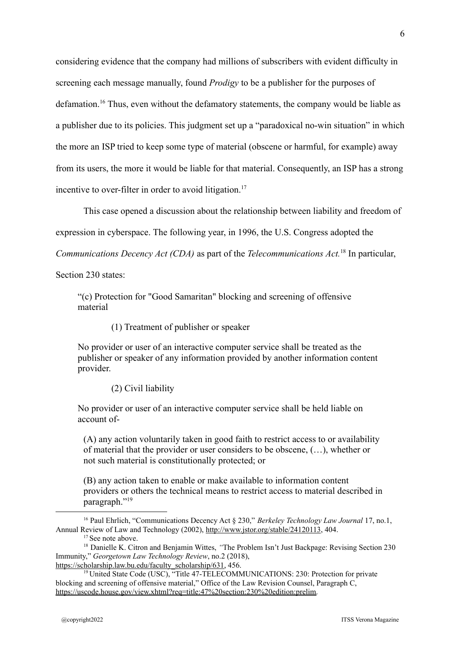considering evidence that the company had millions of subscribers with evident difficulty in screening each message manually, found *Prodigy* to be a publisher for the purposes of defamation.<sup>16</sup> Thus, even without the defamatory statements, the company would be liable as a publisher due to its policies. This judgment set up a "paradoxical no-win situation" in which the more an ISP tried to keep some type of material (obscene or harmful, for example) away from its users, the more it would be liable for that material. Consequently, an ISP has a strong incentive to over-filter in order to avoid litigation.<sup>17</sup>

This case opened a discussion about the relationship between liability and freedom of

expression in cyberspace. The following year, in 1996, the U.S. Congress adopted the

*Communications Decency Act (CDA)* as part of the *Telecommunications Act.*<sup>18</sup> In particular,

Section 230 states:

"(c) Protection for "Good Samaritan" blocking and screening of offensive material

(1) Treatment of publisher or speaker

No provider or user of an interactive computer service shall be treated as the publisher or speaker of any information provided by another information content provider.

(2) Civil liability

No provider or user of an interactive computer service shall be held liable on account of-

(A) any action voluntarily taken in good faith to restrict access to or availability of material that the provider or user considers to be obscene, (…), whether or not such material is constitutionally protected; or

(B) any action taken to enable or make available to information content providers or others the technical means to restrict access to material described in paragraph."<sup>19</sup>

<sup>16</sup> Paul Ehrlich, "Communications Decency Act § 230," *Berkeley Technology Law Journal* 17, no.1, Annual Review of Law and Technology (2002), http://www.jstor.org/stable/24120113, 404.

<sup>&</sup>lt;sup>17</sup> See note above.

<sup>&</sup>lt;sup>18</sup> Danielle K. Citron and Benjamin Wittes, "The Problem Isn't Just Backpage: Revising Section 230 Immunity," *Georgetown Law Technology Review*, no.2 (2018), https://scholarship.law.bu.edu/faculty\_scholarship/631, 456.

<sup>&</sup>lt;sup>19</sup> United State Code (USC), "Title 47-TELECOMMUNICATIONS: 230: Protection for private blocking and screening of offensive material," Office of the Law Revision Counsel, Paragraph C, https://uscode.house.gov/view.xhtml?req=title:47%20section:230%20edition:prelim.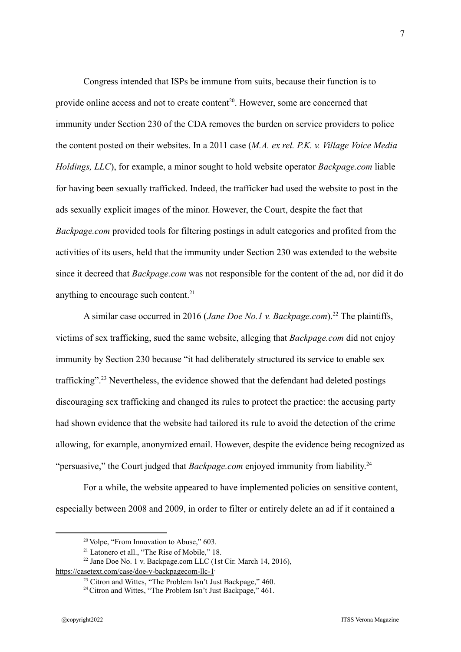Congress intended that ISPs be immune from suits, because their function is to provide online access and not to create content<sup>20</sup>. However, some are concerned that immunity under Section 230 of the CDA removes the burden on service providers to police the content posted on their websites. In a 2011 case (*M.A. ex rel. P.K. v. Village Voice Media Holdings, LLC*), for example, a minor sought to hold website operator *Backpage.com* liable for having been sexually trafficked. Indeed, the trafficker had used the website to post in the ads sexually explicit images of the minor. However, the Court, despite the fact that *Backpage.com* provided tools for filtering postings in adult categories and profited from the activities of its users, held that the immunity under Section 230 was extended to the website since it decreed that *Backpage.com* was not responsible for the content of the ad, nor did it do anything to encourage such content.<sup>21</sup>

A similar case occurred in 2016 (*Jane Doe No.1 v. Backpage.com*).<sup>22</sup> The plaintiffs, victims of sex trafficking, sued the same website, alleging that *Backpage.com* did not enjoy immunity by Section 230 because "it had deliberately structured its service to enable sex trafficking".<sup>23</sup> Nevertheless, the evidence showed that the defendant had deleted postings discouraging sex trafficking and changed its rules to protect the practice: the accusing party had shown evidence that the website had tailored its rule to avoid the detection of the crime allowing, for example, anonymized email. However, despite the evidence being recognized as "persuasive," the Court judged that *Backpage.com* enjoyed immunity from liability. 24

For a while, the website appeared to have implemented policies on sensitive content, especially between 2008 and 2009, in order to filter or entirely delete an ad if it contained a

<sup>&</sup>lt;sup>20</sup> Volpe, "From Innovation to Abuse," 603.

<sup>&</sup>lt;sup>21</sup> Latonero et all., "The Rise of Mobile," 18.

<sup>22</sup> Jane Doe No. 1 v. Backpage.com LLC (1st Cir. March 14, 2016),

https://casetext.com/case/doe-v-backpagecom-llc-1

<sup>&</sup>lt;sup>23</sup> Citron and Wittes, "The Problem Isn't Just Backpage,"  $460$ .

 $24$  Citron and Wittes, "The Problem Isn't Just Backpage," 461.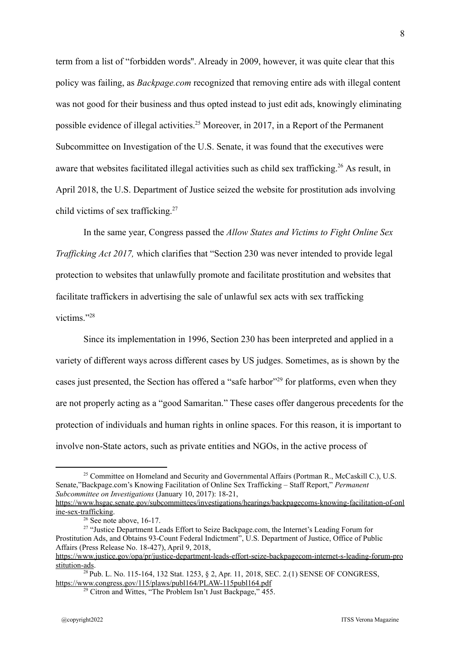term from a list of "forbidden words''. Already in 2009, however, it was quite clear that this policy was failing, as *Backpage.com* recognized that removing entire ads with illegal content was not good for their business and thus opted instead to just edit ads, knowingly eliminating possible evidence of illegal activities.<sup>25</sup> Moreover, in 2017, in a Report of the Permanent Subcommittee on Investigation of the U.S. Senate, it was found that the executives were aware that websites facilitated illegal activities such as child sex trafficking.<sup>26</sup> As result, in April 2018, the U.S. Department of Justice seized the website for prostitution ads involving child victims of sex trafficking.<sup>27</sup>

In the same year, Congress passed the *Allow States and Victims to Fight Online Sex Trafficking Act 2017,* which clarifies that "Section 230 was never intended to provide legal protection to websites that unlawfully promote and facilitate prostitution and websites that facilitate traffickers in advertising the sale of unlawful sex acts with sex trafficking victims."<sup>28</sup>

Since its implementation in 1996, Section 230 has been interpreted and applied in a variety of different ways across different cases by US judges. Sometimes, as is shown by the cases just presented, the Section has offered a "safe harbor"<sup>29</sup> for platforms, even when they are not properly acting as a "good Samaritan." These cases offer dangerous precedents for the protection of individuals and human rights in online spaces. For this reason, it is important to involve non-State actors, such as private entities and NGOs, in the active process of

<sup>&</sup>lt;sup>25</sup> Committee on Homeland and Security and Governmental Affairs (Portman R., McCaskill C.), U.S. Senate,"Backpage.com's Knowing Facilitation of Online Sex Trafficking – Staff Report," *Permanent Subcommittee on Investigations* (January 10, 2017): 18-21,

https://www.hsgac.senate.gov/subcommittees/investigations/hearings/backpagecoms-knowing-facilitation-of-onl ine-sex-trafficking.

 $26$  See note above, 16-17.

<sup>&</sup>lt;sup>27</sup> "Justice Department Leads Effort to Seize Backpage.com, the Internet's Leading Forum for Prostitution Ads, and Obtains 93-Count Federal Indictment", U.S. Department of Justice, Office of Public Affairs (Press Release No. 18-427), April 9, 2018,

https://www.justice.gov/opa/pr/justice-department-leads-effort-seize-backpagecom-internet-s-leading-forum-pro stitution-ads.

<sup>28</sup> Pub. L. No. 115-164, 132 Stat. 1253, § 2, Apr. 11, 2018, SEC. 2.(1) SENSE OF CONGRESS, https://www.congress.gov/115/plaws/publ164/PLAW-115publ164.pdf

 $29$  Citron and Wittes, "The Problem Isn't Just Backpage,"  $455$ .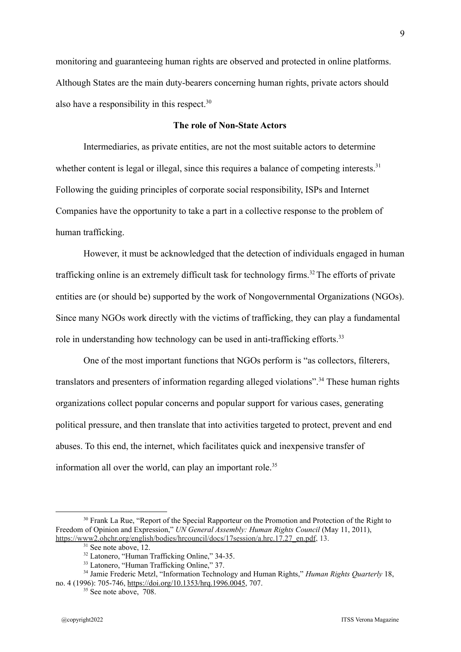monitoring and guaranteeing human rights are observed and protected in online platforms. Although States are the main duty-bearers concerning human rights, private actors should also have a responsibility in this respect.<sup>30</sup>

#### **The role of Non-State Actors**

Intermediaries, as private entities, are not the most suitable actors to determine whether content is legal or illegal, since this requires a balance of competing interests.<sup>31</sup> Following the guiding principles of corporate social responsibility, ISPs and Internet Companies have the opportunity to take a part in a collective response to the problem of human trafficking.

However, it must be acknowledged that the detection of individuals engaged in human trafficking online is an extremely difficult task for technology firms.<sup>32</sup> The efforts of private entities are (or should be) supported by the work of Nongovernmental Organizations (NGOs). Since many NGOs work directly with the victims of trafficking, they can play a fundamental role in understanding how technology can be used in anti-trafficking efforts.<sup>33</sup>

One of the most important functions that NGOs perform is "as collectors, filterers, translators and presenters of information regarding alleged violations".<sup>34</sup> These human rights organizations collect popular concerns and popular support for various cases, generating political pressure, and then translate that into activities targeted to protect, prevent and end abuses. To this end, the internet, which facilitates quick and inexpensive transfer of information all over the world, can play an important role.<sup>35</sup>

<sup>&</sup>lt;sup>30</sup> Frank La Rue, "Report of the Special Rapporteur on the Promotion and Protection of the Right to Freedom of Opinion and Expression," *UN General Assembly: Human Rights Council* (May 11, 2011), https://www2.ohchr.org/english/bodies/hrcouncil/docs/17session/a.hrc.17.27\_en.pdf, 13.

 $31$  See note above,  $12$ .

<sup>&</sup>lt;sup>32</sup> Latonero, "Human Trafficking Online," 34-35.

<sup>&</sup>lt;sup>33</sup> Latonero, "Human Trafficking Online," 37.

<sup>34</sup> Jamie Frederic Metzl, "Information Technology and Human Rights," *Human Rights Quarterly* 18, no. 4 (1996): 705-746, <https://doi.org/10.1353/hrq.1996.0045>, 707.

 $35$  See note above,  $708$ .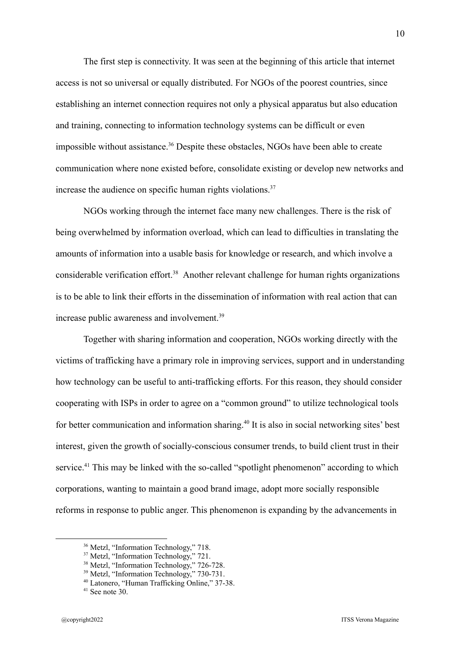The first step is connectivity. It was seen at the beginning of this article that internet access is not so universal or equally distributed. For NGOs of the poorest countries, since establishing an internet connection requires not only a physical apparatus but also education and training, connecting to information technology systems can be difficult or even impossible without assistance.<sup>36</sup> Despite these obstacles, NGOs have been able to create communication where none existed before, consolidate existing or develop new networks and increase the audience on specific human rights violations. $37$ 

NGOs working through the internet face many new challenges. There is the risk of being overwhelmed by information overload, which can lead to difficulties in translating the amounts of information into a usable basis for knowledge or research, and which involve a considerable verification effort.<sup>38</sup> Another relevant challenge for human rights organizations is to be able to link their efforts in the dissemination of information with real action that can increase public awareness and involvement.<sup>39</sup>

Together with sharing information and cooperation, NGOs working directly with the victims of trafficking have a primary role in improving services, support and in understanding how technology can be useful to anti-trafficking efforts. For this reason, they should consider cooperating with ISPs in order to agree on a "common ground" to utilize technological tools for better communication and information sharing.<sup>40</sup> It is also in social networking sites' best interest, given the growth of socially-conscious consumer trends, to build client trust in their service.<sup>41</sup> This may be linked with the so-called "spotlight phenomenon" according to which corporations, wanting to maintain a good brand image, adopt more socially responsible reforms in response to public anger. This phenomenon is expanding by the advancements in

<sup>36</sup> Metzl, "Information Technology," 718.

<sup>&</sup>lt;sup>37</sup> Metzl, "Information Technology," 721.

<sup>&</sup>lt;sup>38</sup> Metzl, "Information Technology," 726-728.

<sup>&</sup>lt;sup>39</sup> Metzl, "Information Technology," 730-731.

<sup>40</sup> Latonero, "Human Trafficking Online," 37-38.

 $41$  See note  $30$ .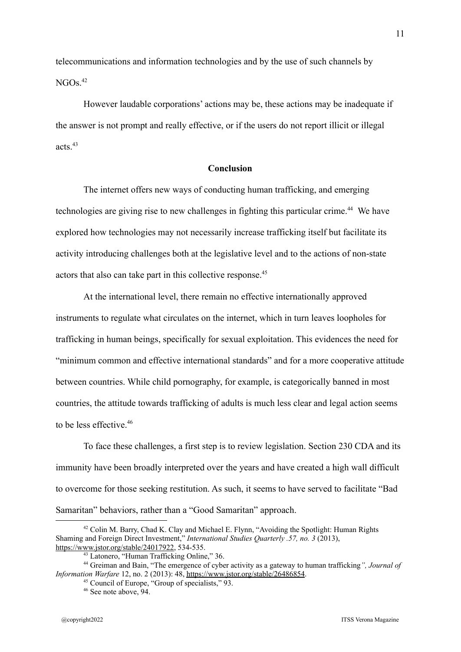telecommunications and information technologies and by the use of such channels by  $NGOs$ <sup>42</sup>

However laudable corporations' actions may be, these actions may be inadequate if the answer is not prompt and really effective, or if the users do not report illicit or illegal acts $43$ 

#### **Conclusion**

The internet offers new ways of conducting human trafficking, and emerging technologies are giving rise to new challenges in fighting this particular crime.<sup>44</sup> We have explored how technologies may not necessarily increase trafficking itself but facilitate its activity introducing challenges both at the legislative level and to the actions of non-state actors that also can take part in this collective response.<sup>45</sup>

At the international level, there remain no effective internationally approved instruments to regulate what circulates on the internet, which in turn leaves loopholes for trafficking in human beings, specifically for sexual exploitation. This evidences the need for "minimum common and effective international standards" and for a more cooperative attitude between countries. While child pornography, for example, is categorically banned in most countries, the attitude towards trafficking of adults is much less clear and legal action seems to be less effective.<sup>46</sup>

To face these challenges, a first step is to review legislation. Section 230 CDA and its immunity have been broadly interpreted over the years and have created a high wall difficult to overcome for those seeking restitution. As such, it seems to have served to facilitate "Bad Samaritan" behaviors, rather than a "Good Samaritan" approach.

<sup>42</sup> Colin M. Barry, Chad K. Clay and Michael E. Flynn, "Avoiding the Spotlight: Human Rights Shaming and Foreign Direct Investment," *International Studies Quarterly .57, no. 3* (2013), https://www.jstor.org/stable/24017922, 534-535.

<sup>43</sup> Latonero, "Human Trafficking Online," 36.

<sup>44</sup> Greiman and Bain, "The emergence of cyber activity as a gateway to human trafficking*", Journal of Information Warfare* 12, no. 2 (2013): 48, https://www.jstor.org/stable/26486854.

<sup>45</sup> Council of Europe, "Group of specialists," 93.

<sup>46</sup> See note above, 94.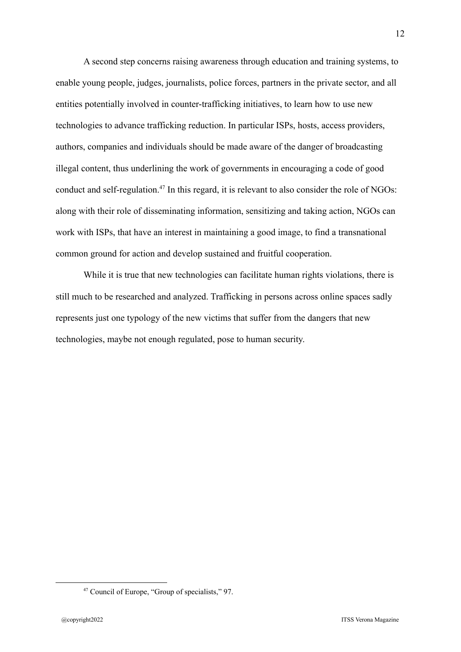A second step concerns raising awareness through education and training systems, to enable young people, judges, journalists, police forces, partners in the private sector, and all entities potentially involved in counter-trafficking initiatives, to learn how to use new technologies to advance trafficking reduction. In particular ISPs, hosts, access providers, authors, companies and individuals should be made aware of the danger of broadcasting illegal content, thus underlining the work of governments in encouraging a code of good conduct and self-regulation.<sup>47</sup> In this regard, it is relevant to also consider the role of NGOs: along with their role of disseminating information, sensitizing and taking action, NGOs can work with ISPs, that have an interest in maintaining a good image, to find a transnational common ground for action and develop sustained and fruitful cooperation.

While it is true that new technologies can facilitate human rights violations, there is still much to be researched and analyzed. Trafficking in persons across online spaces sadly represents just one typology of the new victims that suffer from the dangers that new technologies, maybe not enough regulated, pose to human security.

<sup>47</sup> Council of Europe, "Group of specialists," 97.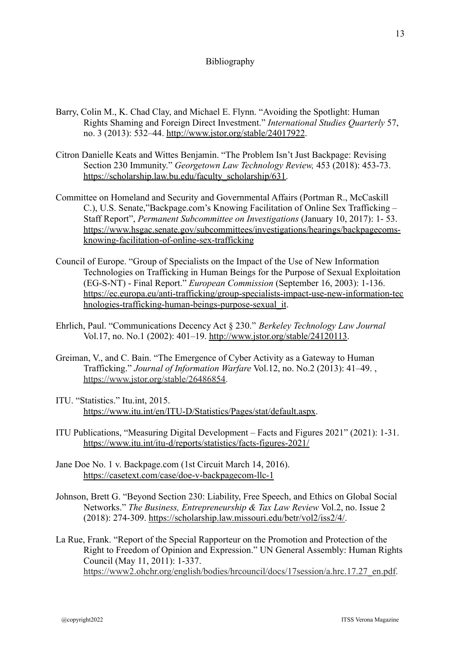### Bibliography

- Barry, Colin M., K. Chad Clay, and Michael E. Flynn. "Avoiding the Spotlight: Human Rights Shaming and Foreign Direct Investment." *International Studies Quarterly* 57, no. 3 (2013): 532–44. http://www.jstor.org/stable/24017922.
- Citron Danielle Keats and Wittes Benjamin. "The Problem Isn't Just Backpage: Revising Section 230 Immunity." *Georgetown Law Technology Review,* 453 (2018): 453-73. https://scholarship.law.bu.edu/faculty\_scholarship/631.
- Committee on Homeland and Security and Governmental Affairs (Portman R., McCaskill C.), U.S. Senate,"Backpage.com's Knowing Facilitation of Online Sex Trafficking – Staff Report", *Permanent Subcommittee on Investigations* (January 10, 2017): 1- 53. https://www.hsgac.senate.gov/subcommittees/investigations/hearings/backpagecomsknowing-facilitation-of-online-sex-trafficking
- Council of Europe. "Group of Specialists on the Impact of the Use of New Information Technologies on Trafficking in Human Beings for the Purpose of Sexual Exploitation (EG-S-NT) - Final Report." *European Commission* (September 16, 2003): 1-136. https://ec.europa.eu/anti-trafficking/group-specialists-impact-use-new-information-tec hnologies-trafficking-human-beings-purpose-sexual it.
- Ehrlich, Paul. "Communications Decency Act § 230." *Berkeley Technology Law Journal* Vol.17, no. No.1 (2002): 401–19. http://www.jstor.org/stable/24120113.
- Greiman, V., and C. Bain. "The Emergence of Cyber Activity as a Gateway to Human Trafficking." *Journal of Information Warfare* Vol.12, no. No.2 (2013): 41–49. , https://www.jstor.org/stable/26486854.
- ITU. "Statistics." Itu.int, 2015. https://www.itu.int/en/ITU-D/Statistics/Pages/stat/default.aspx.
- ITU Publications, "Measuring Digital Development Facts and Figures 2021" (2021): 1-31. https://www.itu.int/itu-d/reports/statistics/facts-figures-2021/
- Jane Doe No. 1 v. Backpage.com (1st Circuit March 14, 2016). https://casetext.com/case/doe-v-backpagecom-llc-1
- Johnson, Brett G. "Beyond Section 230: Liability, Free Speech, and Ethics on Global Social Networks." *The Business, Entrepreneurship & Tax Law Review* Vol.2, no. Issue 2 (2018): 274-309. https://scholarship.law.missouri.edu/betr/vol2/iss2/4/.
- La Rue, Frank. "Report of the Special Rapporteur on the Promotion and Protection of the Right to Freedom of Opinion and Expression." UN General Assembly: Human Rights Council (May 11, 2011): 1-337. https://www2.ohchr.org/english/bodies/hrcouncil/docs/17session/a.hrc.17.27\_en.pdf.